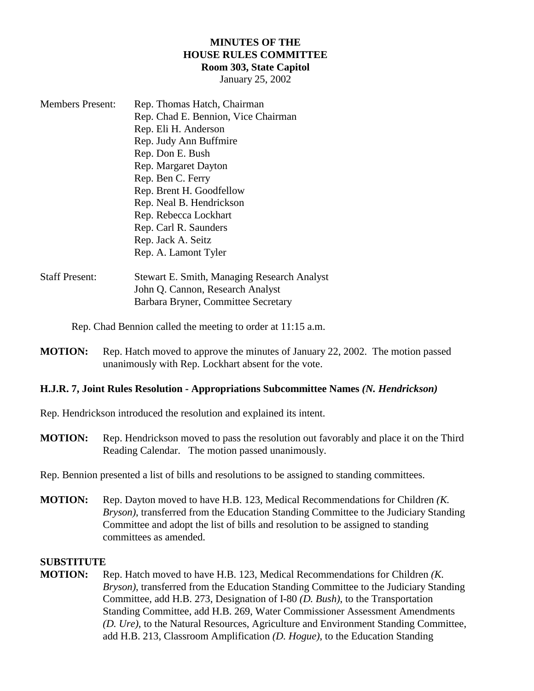## **MINUTES OF THE HOUSE RULES COMMITTEE Room 303, State Capitol**

January 25, 2002

| <b>Members Present:</b> | Rep. Thomas Hatch, Chairman         |
|-------------------------|-------------------------------------|
|                         | Rep. Chad E. Bennion, Vice Chairman |
|                         | Rep. Eli H. Anderson                |
|                         | Rep. Judy Ann Buffmire              |
|                         | Rep. Don E. Bush                    |
|                         | Rep. Margaret Dayton                |
|                         | Rep. Ben C. Ferry                   |
|                         | Rep. Brent H. Goodfellow            |
|                         | Rep. Neal B. Hendrickson            |
|                         | Rep. Rebecca Lockhart               |
|                         | Rep. Carl R. Saunders               |
|                         | Rep. Jack A. Seitz                  |
|                         | Rep. A. Lamont Tyler                |
|                         |                                     |

## Staff Present: Stewart E. Smith, Managing Research Analyst John Q. Cannon, Research Analyst Barbara Bryner, Committee Secretary

Rep. Chad Bennion called the meeting to order at 11:15 a.m.

**MOTION:** Rep. Hatch moved to approve the minutes of January 22, 2002. The motion passed unanimously with Rep. Lockhart absent for the vote.

## **H.J.R. 7, Joint Rules Resolution - Appropriations Subcommittee Names** *(N. Hendrickson)*

Rep. Hendrickson introduced the resolution and explained its intent.

**MOTION:** Rep. Hendrickson moved to pass the resolution out favorably and place it on the Third Reading Calendar. The motion passed unanimously.

Rep. Bennion presented a list of bills and resolutions to be assigned to standing committees.

**MOTION:** Rep. Dayton moved to have H.B. 123, Medical Recommendations for Children *(K. Bryson)*, transferred from the Education Standing Committee to the Judiciary Standing Committee and adopt the list of bills and resolution to be assigned to standing committees as amended.

## **SUBSTITUTE**

**MOTION:** Rep. Hatch moved to have H.B. 123, Medical Recommendations for Children *(K. Bryson)*, transferred from the Education Standing Committee to the Judiciary Standing Committee, add H.B. 273, Designation of I-80 *(D. Bush)*, to the Transportation Standing Committee, add H.B. 269, Water Commissioner Assessment Amendments *(D. Ure)*, to the Natural Resources, Agriculture and Environment Standing Committee, add H.B. 213, Classroom Amplification *(D. Hogue)*, to the Education Standing